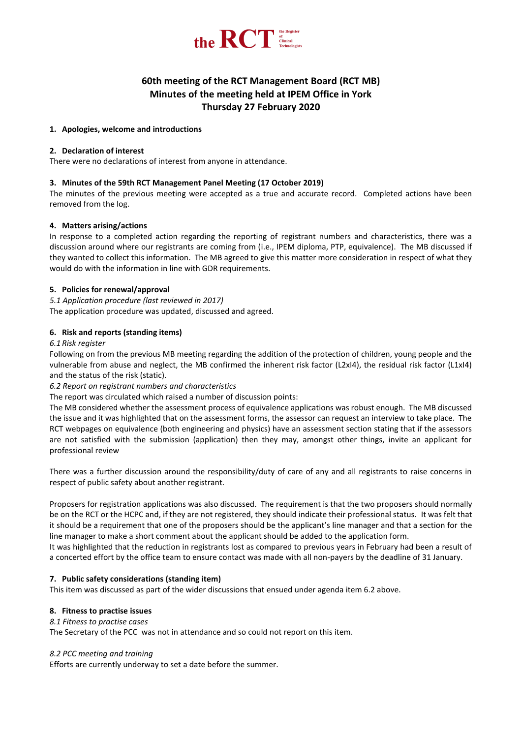

# **60th meeting of the RCT Management Board (RCT MB) Minutes of the meeting held at IPEM Office in York Thursday 27 February 2020**

## **1. Apologies, welcome and introductions**

## **2. Declaration of interest**

There were no declarations of interest from anyone in attendance.

# **3. Minutes of the 59th RCT Management Panel Meeting (17 October 2019)**

The minutes of the previous meeting were accepted as a true and accurate record. Completed actions have been removed from the log.

# **4. Matters arising/actions**

In response to a completed action regarding the reporting of registrant numbers and characteristics, there was a discussion around where our registrants are coming from (i.e., IPEM diploma, PTP, equivalence). The MB discussed if they wanted to collect this information. The MB agreed to give this matter more consideration in respect of what they would do with the information in line with GDR requirements.

# **5. Policies for renewal/approval**

*5.1 Application procedure (last reviewed in 2017)* The application procedure was updated, discussed and agreed.

# **6. Risk and reports (standing items)**

## *6.1 Risk register*

Following on from the previous MB meeting regarding the addition of the protection of children, young people and the vulnerable from abuse and neglect, the MB confirmed the inherent risk factor (L2xI4), the residual risk factor (L1xI4) and the status of the risk (static).

# *6.2 Report on registrant numbers and characteristics*

The report was circulated which raised a number of discussion points:

The MB considered whether the assessment process of equivalence applications was robust enough. The MB discussed the issue and it was highlighted that on the assessment forms, the assessor can request an interview to take place. The RCT webpages on equivalence (both engineering and physics) have an assessment section stating that if the assessors are not satisfied with the submission (application) then they may, amongst other things, invite an applicant for professional review

There was a further discussion around the responsibility/duty of care of any and all registrants to raise concerns in respect of public safety about another registrant.

Proposers for registration applications was also discussed. The requirement is that the two proposers should normally be on the RCT or the HCPC and, if they are not registered, they should indicate their professional status. It was felt that it should be a requirement that one of the proposers should be the applicant's line manager and that a section for the line manager to make a short comment about the applicant should be added to the application form.

It was highlighted that the reduction in registrants lost as compared to previous years in February had been a result of a concerted effort by the office team to ensure contact was made with all non-payers by the deadline of 31 January.

## **7. Public safety considerations (standing item)**

This item was discussed as part of the wider discussions that ensued under agenda item 6.2 above.

## **8. Fitness to practise issues**

## *8.1 Fitness to practise cases*

The Secretary of the PCC was not in attendance and so could not report on this item.

## *8.2 PCC meeting and training*

Efforts are currently underway to set a date before the summer.